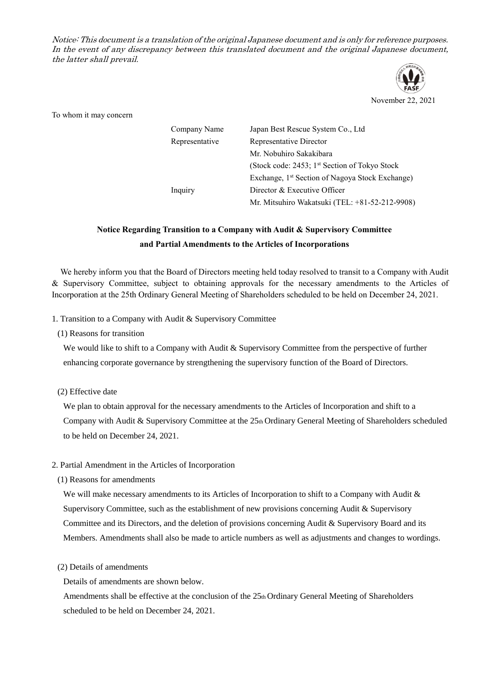Notice: This document is a translation of the original Japanese document and is only for reference purposes. In the event of any discrepancy between this translated document and the original Japanese document, the latter shall prevail.



November 22, 2021

To whom it may concern

| Company Name   | Japan Best Rescue System Co., Ltd.                          |
|----------------|-------------------------------------------------------------|
| Representative | Representative Director                                     |
|                | Mr. Nobuhiro Sakakibara                                     |
|                | (Stock code: 2453; 1 <sup>st</sup> Section of Tokyo Stock   |
|                | Exchange, 1 <sup>st</sup> Section of Nagoya Stock Exchange) |
| Inquiry        | Director & Executive Officer                                |
|                | Mr. Mitsuhiro Wakatsuki (TEL: +81-52-212-9908)              |

## **Notice Regarding Transition to a Company with Audit & Supervisory Committee and Partial Amendments to the Articles of Incorporations**

We hereby inform you that the Board of Directors meeting held today resolved to transit to a Company with Audit & Supervisory Committee, subject to obtaining approvals for the necessary amendments to the Articles of Incorporation at the 25th Ordinary General Meeting of Shareholders scheduled to be held on December 24, 2021.

1. Transition to a Company with Audit & Supervisory Committee

(1) Reasons for transition

We would like to shift to a Company with Audit & Supervisory Committee from the perspective of further enhancing corporate governance by strengthening the supervisory function of the Board of Directors.

(2) Effective date

We plan to obtain approval for the necessary amendments to the Articles of Incorporation and shift to a Company with Audit & Supervisory Committee at the 25th Ordinary General Meeting of Shareholders scheduled to be held on December 24, 2021.

## 2. Partial Amendment in the Articles of Incorporation

(1) Reasons for amendments

We will make necessary amendments to its Articles of Incorporation to shift to a Company with Audit & Supervisory Committee, such as the establishment of new provisions concerning Audit & Supervisory Committee and its Directors, and the deletion of provisions concerning Audit & Supervisory Board and its Members. Amendments shall also be made to article numbers as well as adjustments and changes to wordings.

(2) Details of amendments

Details of amendments are shown below.

Amendments shall be effective at the conclusion of the  $25<sub>th</sub>$  Ordinary General Meeting of Shareholders scheduled to be held on December 24, 2021.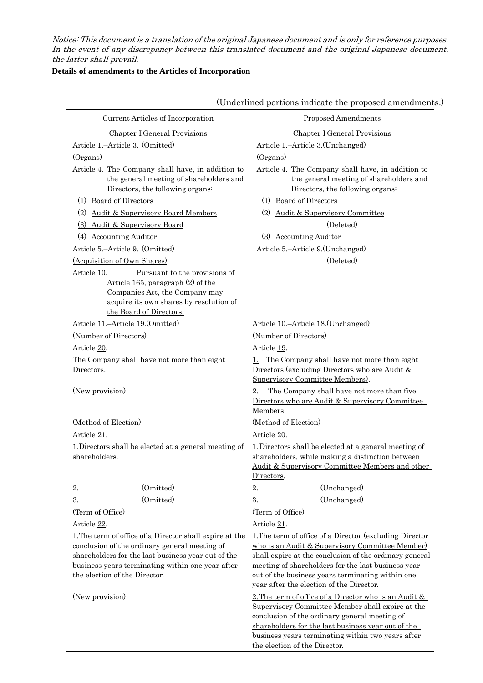Notice: This document is a translation of the original Japanese document and is only for reference purposes. In the event of any discrepancy between this translated document and the original Japanese document, the latter shall prevail.

## **Details of amendments to the Articles of Incorporation**

| Current Articles of Incorporation                                                                                                                                                                                                                   | Proposed Amendments                                                                                                                                                                                                                                                                                                                 |
|-----------------------------------------------------------------------------------------------------------------------------------------------------------------------------------------------------------------------------------------------------|-------------------------------------------------------------------------------------------------------------------------------------------------------------------------------------------------------------------------------------------------------------------------------------------------------------------------------------|
| Chapter I General Provisions                                                                                                                                                                                                                        | Chapter I General Provisions                                                                                                                                                                                                                                                                                                        |
| Article 1.-Article 3. (Omitted)                                                                                                                                                                                                                     | Article 1.-Article 3.(Unchanged)                                                                                                                                                                                                                                                                                                    |
| (Organs)                                                                                                                                                                                                                                            | (Organs)                                                                                                                                                                                                                                                                                                                            |
| Article 4. The Company shall have, in addition to<br>the general meeting of shareholders and<br>Directors, the following organs:                                                                                                                    | Article 4. The Company shall have, in addition to<br>the general meeting of shareholders and<br>Directors, the following organs:                                                                                                                                                                                                    |
| (1) Board of Directors                                                                                                                                                                                                                              | (1) Board of Directors                                                                                                                                                                                                                                                                                                              |
| <b>Audit &amp; Supervisory Board Members</b><br>(2)                                                                                                                                                                                                 | (2) Audit & Supervisory Committee                                                                                                                                                                                                                                                                                                   |
| (3) Audit & Supervisory Board                                                                                                                                                                                                                       | (Deleted)                                                                                                                                                                                                                                                                                                                           |
| $(4)$ Accounting Auditor                                                                                                                                                                                                                            | (3) Accounting Auditor                                                                                                                                                                                                                                                                                                              |
| Article 5.-Article 9. (Omitted)                                                                                                                                                                                                                     | Article 5.-Article 9.(Unchanged)                                                                                                                                                                                                                                                                                                    |
| (Acquisition of Own Shares)                                                                                                                                                                                                                         | (Deleted)                                                                                                                                                                                                                                                                                                                           |
| Article 10.<br>Pursuant to the provisions of<br>Article 165, paragraph $(2)$ of the<br>Companies Act, the Company may<br>acquire its own shares by resolution of<br>the Board of Directors.                                                         |                                                                                                                                                                                                                                                                                                                                     |
| Article 11.-Article 19. (Omitted)                                                                                                                                                                                                                   | Article 10.-Article 18. (Unchanged)                                                                                                                                                                                                                                                                                                 |
| (Number of Directors)                                                                                                                                                                                                                               | (Number of Directors)                                                                                                                                                                                                                                                                                                               |
| Article 20.                                                                                                                                                                                                                                         | Article 19.                                                                                                                                                                                                                                                                                                                         |
| The Company shall have not more than eight<br>Directors.                                                                                                                                                                                            | The Company shall have not more than eight<br>1.<br>Directors <u>(excluding Directors who are Audit &amp;</u><br>Supervisory Committee Members).                                                                                                                                                                                    |
| (New provision)                                                                                                                                                                                                                                     | The Company shall have not more than five<br>2.<br>Directors who are Audit & Supervisory Committee<br>Members.                                                                                                                                                                                                                      |
| (Method of Election)                                                                                                                                                                                                                                | (Method of Election)                                                                                                                                                                                                                                                                                                                |
| Article 21.                                                                                                                                                                                                                                         | Article 20.                                                                                                                                                                                                                                                                                                                         |
| 1. Directors shall be elected at a general meeting of<br>shareholders.                                                                                                                                                                              | 1. Directors shall be elected at a general meeting of<br>shareholders, while making a distinction between<br>Audit & Supervisory Committee Members and other<br>Directors.                                                                                                                                                          |
| (Omitted)<br>2.                                                                                                                                                                                                                                     | 2.<br>(Unchanged)                                                                                                                                                                                                                                                                                                                   |
| (Omitted)<br>3.                                                                                                                                                                                                                                     | 3.<br>(Unchanged)                                                                                                                                                                                                                                                                                                                   |
| (Term of Office)                                                                                                                                                                                                                                    | (Term of Office)                                                                                                                                                                                                                                                                                                                    |
| Article 22.                                                                                                                                                                                                                                         | Article 21.                                                                                                                                                                                                                                                                                                                         |
| 1. The term of office of a Director shall expire at the<br>conclusion of the ordinary general meeting of<br>shareholders for the last business year out of the<br>business years terminating within one year after<br>the election of the Director. | 1. The term of office of a Director <u>(excluding Director</u> )<br>who is an Audit & Supervisory Committee Member)<br>shall expire at the conclusion of the ordinary general<br>meeting of shareholders for the last business year<br>out of the business years terminating within one<br>year after the election of the Director. |
| (New provision)                                                                                                                                                                                                                                     | 2. The term of office of a Director who is an Audit &<br>Supervisory Committee Member shall expire at the<br>conclusion of the ordinary general meeting of<br>shareholders for the last business year out of the<br>business years terminating within two years after                                                               |
|                                                                                                                                                                                                                                                     | the election of the Director.                                                                                                                                                                                                                                                                                                       |

(Underlined portions indicate the proposed amendments.)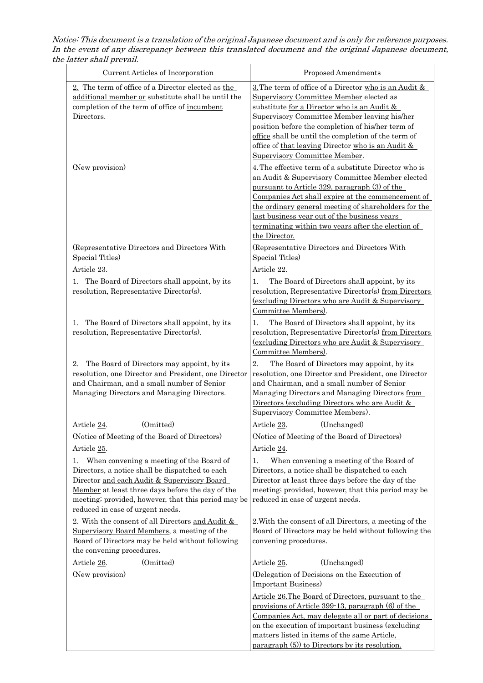Notice: This document is a translation of the original Japanese document and is only for reference purposes. In the event of any discrepancy between this translated document and the original Japanese document, the latter shall prevail.

| Current Articles of Incorporation                                                                                                                                                                                                                                                                                                                   | Proposed Amendments                                                                                                                                                                                                                                                                                                                                                                                              |
|-----------------------------------------------------------------------------------------------------------------------------------------------------------------------------------------------------------------------------------------------------------------------------------------------------------------------------------------------------|------------------------------------------------------------------------------------------------------------------------------------------------------------------------------------------------------------------------------------------------------------------------------------------------------------------------------------------------------------------------------------------------------------------|
| 2. The term of office of a Director elected as the<br>additional member or substitute shall be until the<br>completion of the term of office of incumbent<br>Directors.                                                                                                                                                                             | $\underline{3}$ . The term of office of a Director who is an Audit &<br>Supervisory Committee Member elected as<br>substitute for a Director who is an Audit &<br>Supervisory Committee Member leaving his/her<br>position before the completion of his/her term of<br>office shall be until the completion of the term of<br>office of that leaving Director who is an Audit &<br>Supervisory Committee Member. |
| (New provision)                                                                                                                                                                                                                                                                                                                                     | 4. The effective term of a substitute Director who is<br>an Audit & Supervisory Committee Member elected<br>pursuant to Article 329, paragraph (3) of the<br>Companies Act shall expire at the commencement of<br>the ordinary general meeting of shareholders for the<br>last business year out of the business years<br>terminating within two years after the election of<br>the Director.                    |
| (Representative Directors and Directors With<br>Special Titles)                                                                                                                                                                                                                                                                                     | (Representative Directors and Directors With<br>Special Titles)                                                                                                                                                                                                                                                                                                                                                  |
| Article 23.                                                                                                                                                                                                                                                                                                                                         | Article 22.                                                                                                                                                                                                                                                                                                                                                                                                      |
| The Board of Directors shall appoint, by its<br>1.<br>resolution, Representative Director(s).                                                                                                                                                                                                                                                       | The Board of Directors shall appoint, by its<br>1.<br>resolution, Representative Director(s) from Directors<br><u>(excluding Directors who are Audit &amp; Supervisory</u><br>Committee Members).                                                                                                                                                                                                                |
| The Board of Directors shall appoint, by its<br>1.<br>resolution, Representative Director(s).                                                                                                                                                                                                                                                       | The Board of Directors shall appoint, by its<br>1.<br>resolution, Representative Director(s) from Directors<br><u>(excluding Directors who are Audit &amp; Supervisory</u><br>Committee Members).                                                                                                                                                                                                                |
| The Board of Directors may appoint, by its<br>2.<br>resolution, one Director and President, one Director<br>and Chairman, and a small number of Senior<br>Managing Directors and Managing Directors.                                                                                                                                                | 2.<br>The Board of Directors may appoint, by its<br>resolution, one Director and President, one Director<br>and Chairman, and a small number of Senior<br>Managing Directors and Managing Directors from<br>Directors (excluding Directors who are Audit &<br>Supervisory Committee Members).                                                                                                                    |
| (Omitted)<br>Article 24.                                                                                                                                                                                                                                                                                                                            | Article 23.<br>(Unchanged)                                                                                                                                                                                                                                                                                                                                                                                       |
| (Notice of Meeting of the Board of Directors)                                                                                                                                                                                                                                                                                                       | (Notice of Meeting of the Board of Directors)                                                                                                                                                                                                                                                                                                                                                                    |
| Article 25.                                                                                                                                                                                                                                                                                                                                         | Article 24.                                                                                                                                                                                                                                                                                                                                                                                                      |
| When convening a meeting of the Board of<br>1.<br>Directors, a notice shall be dispatched to each<br>Director and each Audit & Supervisory Board<br>Member at least three days before the day of the<br>meeting; provided, however, that this period may be<br>reduced in case of urgent needs.<br>2. With the consent of all Directors and Audit & | When convening a meeting of the Board of<br>1.<br>Directors, a notice shall be dispatched to each<br>Director at least three days before the day of the<br>meeting; provided, however, that this period may be<br>reduced in case of urgent needs.<br>2. With the consent of all Directors, a meeting of the                                                                                                     |
| Supervisory Board Members, a meeting of the<br>Board of Directors may be held without following<br>the convening procedures.                                                                                                                                                                                                                        | Board of Directors may be held without following the<br>convening procedures.                                                                                                                                                                                                                                                                                                                                    |
| (Omitted)<br>Article 26.                                                                                                                                                                                                                                                                                                                            | (Unchanged)<br>Article 25.                                                                                                                                                                                                                                                                                                                                                                                       |
| (New provision)                                                                                                                                                                                                                                                                                                                                     | (Delegation of Decisions on the Execution of<br><b>Important Business)</b>                                                                                                                                                                                                                                                                                                                                       |
|                                                                                                                                                                                                                                                                                                                                                     | Article 26. The Board of Directors, pursuant to the<br>provisions of Article 399-13, paragraph (6) of the<br>Companies Act, may delegate all or part of decisions<br>on the execution of important business (excluding                                                                                                                                                                                           |
|                                                                                                                                                                                                                                                                                                                                                     | matters listed in items of the same Article,<br>paragraph (5) to Directors by its resolution.                                                                                                                                                                                                                                                                                                                    |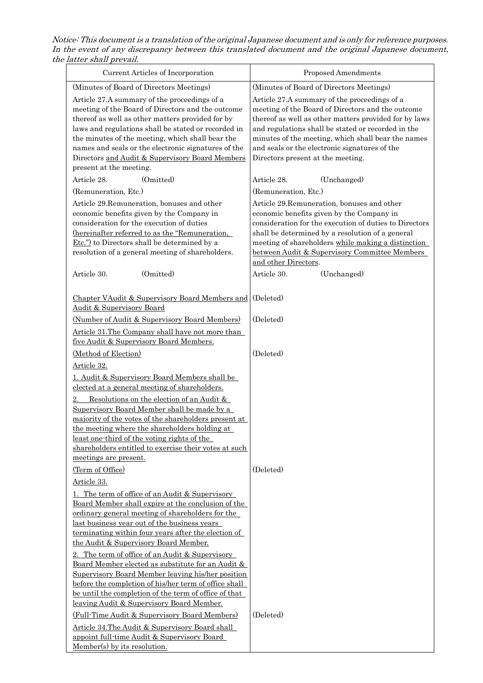Notice: This document is a translation of the original Japanese document and is only for reference purposes. In the event of any discrepancy between this translated document and the original Japanese document, the latter shall prevail.

| Current Articles of Incorporation                                                                                                                                                                                                                                                                                                                                                                                                                  | Proposed Amendments                                                                                                                                                                                                                                                                                                                                                |
|----------------------------------------------------------------------------------------------------------------------------------------------------------------------------------------------------------------------------------------------------------------------------------------------------------------------------------------------------------------------------------------------------------------------------------------------------|--------------------------------------------------------------------------------------------------------------------------------------------------------------------------------------------------------------------------------------------------------------------------------------------------------------------------------------------------------------------|
| (Minutes of Board of Directors Meetings)                                                                                                                                                                                                                                                                                                                                                                                                           | (Minutes of Board of Directors Meetings)                                                                                                                                                                                                                                                                                                                           |
| Article 27.A summary of the proceedings of a<br>meeting of the Board of Directors and the outcome<br>thereof as well as other matters provided for by<br>laws and regulations shall be stated or recorded in<br>the minutes of the meeting, which shall bear the<br>names and seals or the electronic signatures of the<br>Directors and Audit & Supervisory Board Members<br>present at the meeting.                                              | Article 27.A summary of the proceedings of a<br>meeting of the Board of Directors and the outcome<br>thereof as well as other matters provided for by laws<br>and regulations shall be stated or recorded in the<br>minutes of the meeting, which shall bear the names<br>and seals or the electronic signatures of the<br>Directors present at the meeting.       |
| (Omitted)<br>Article 28.                                                                                                                                                                                                                                                                                                                                                                                                                           | (Unchanged)<br>Article 28.                                                                                                                                                                                                                                                                                                                                         |
| (Remuneration, Etc.)                                                                                                                                                                                                                                                                                                                                                                                                                               | (Remuneration, Etc.)                                                                                                                                                                                                                                                                                                                                               |
| Article 29.Remuneration, bonuses and other<br>economic benefits given by the Company in<br>consideration for the execution of duties<br>(hereinafter referred to as the "Remuneration,<br>Etc.") to Directors shall be determined by a<br>resolution of a general meeting of shareholders.<br>(Omitted)<br>Article 30.                                                                                                                             | Article 29.Remuneration, bonuses and other<br>economic benefits given by the Company in<br>consideration for the execution of duties to Directors<br>shall be determined by a resolution of a general<br>meeting of shareholders while making a distinction<br>between Audit & Supervisory Committee Members<br>and other Directors.<br>Article 30.<br>(Unchanged) |
|                                                                                                                                                                                                                                                                                                                                                                                                                                                    |                                                                                                                                                                                                                                                                                                                                                                    |
| Chapter VAudit & Supervisory Board Members and<br><b>Audit &amp; Supervisory Board</b>                                                                                                                                                                                                                                                                                                                                                             | (Deleted)                                                                                                                                                                                                                                                                                                                                                          |
| (Number of Audit & Supervisory Board Members)                                                                                                                                                                                                                                                                                                                                                                                                      | (Deleted)                                                                                                                                                                                                                                                                                                                                                          |
| Article 31. The Company shall have not more than<br>five Audit & Supervisory Board Members.<br>(Method of Election)                                                                                                                                                                                                                                                                                                                                | (Deleted)                                                                                                                                                                                                                                                                                                                                                          |
| Article 32.                                                                                                                                                                                                                                                                                                                                                                                                                                        |                                                                                                                                                                                                                                                                                                                                                                    |
| 1. Audit & Supervisory Board Members shall be<br>elected at a general meeting of shareholders.<br>Resolutions on the election of an Audit &<br>Supervisory Board Member shall be made by a<br>majority of the votes of the shareholders present at<br>the meeting where the shareholders holding at<br><u>least one-third of the voting rights of the</u><br>shareholders entitled to exercise their votes at such<br>meetings are present.        |                                                                                                                                                                                                                                                                                                                                                                    |
| (Term of Office)                                                                                                                                                                                                                                                                                                                                                                                                                                   | (Deleted)                                                                                                                                                                                                                                                                                                                                                          |
| <u>Article 33.</u><br><u>1. The term of office of an Audit &amp; Supervisory</u><br><u>Board Member shall expire at the conclusion of the</u><br><u>ordinary general meeting of shareholders for the</u><br>last business year out of the business years<br>terminating within four years after the election of<br>the Audit & Supervisory Board Member.                                                                                           |                                                                                                                                                                                                                                                                                                                                                                    |
| 2. The term of office of an Audit & Supervisory<br>Board Member elected as substitute for an Audit &<br>Supervisory Board Member leaving his/her position<br>before the completion of his/her term of office shall<br>be until the completion of the term of office of that<br><u>leaving Audit &amp; Supervisory Board Member.</u><br>(Full-Time Audit & Supervisory Board Members)<br><u>Article 34. The Audit &amp; Supervisory Board shall</u> | (Deleted)                                                                                                                                                                                                                                                                                                                                                          |
| appoint full-time Audit & Supervisory Board<br>Member(s) by its resolution.                                                                                                                                                                                                                                                                                                                                                                        |                                                                                                                                                                                                                                                                                                                                                                    |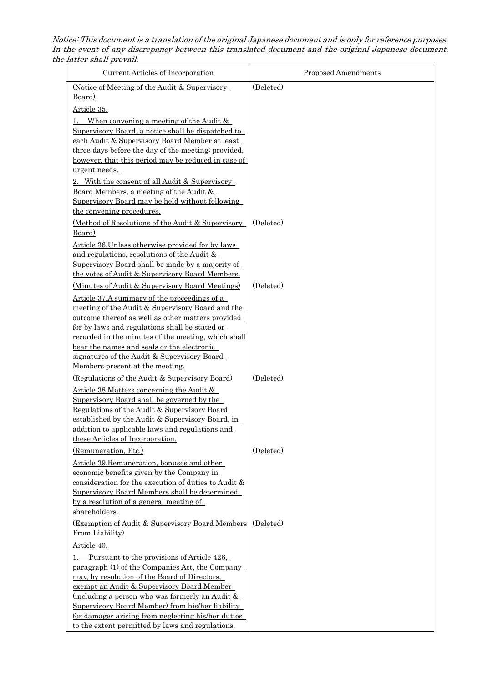Notice: This document is a translation of the original Japanese document and is only for reference purposes. In the event of any discrepancy between this translated document and the original Japanese document, the latter shall prevail.

| Current Articles of Incorporation                                                                          | Proposed Amendments |
|------------------------------------------------------------------------------------------------------------|---------------------|
| (Notice of Meeting of the Audit & Supervisory)<br>Board)                                                   | (Deleted)           |
| Article 35.                                                                                                |                     |
| When convening a meeting of the Audit $\&$                                                                 |                     |
| Supervisory Board, a notice shall be dispatched to<br>each Audit & Supervisory Board Member at least       |                     |
| three days before the day of the meeting; provided,<br>however, that this period may be reduced in case of |                     |
| urgent needs.                                                                                              |                     |
| 2. With the consent of all Audit & Supervisory                                                             |                     |
| Board Members, a meeting of the Audit &<br>Supervisory Board may be held without following                 |                     |
| the convening procedures.                                                                                  |                     |
| (Method of Resolutions of the Audit & Supervisory<br>Board)                                                | (Deleted)           |
| Article 36. Unless otherwise provided for by laws                                                          |                     |
| and regulations, resolutions of the Audit &                                                                |                     |
| Supervisory Board shall be made by a majority of                                                           |                     |
| the votes of Audit & Supervisory Board Members.<br>(Minutes of Audit & Supervisory Board Meetings)         | (Deleted)           |
| Article 37.A summary of the proceedings of a                                                               |                     |
| meeting of the Audit & Supervisory Board and the                                                           |                     |
| outcome thereof as well as other matters provided                                                          |                     |
| for by laws and regulations shall be stated or                                                             |                     |
| recorded in the minutes of the meeting, which shall                                                        |                     |
| bear the names and seals or the electronic                                                                 |                     |
| signatures of the Audit & Supervisory Board<br>Members present at the meeting.                             |                     |
| (Regulations of the Audit & Supervisory Board)                                                             | (Deleted)           |
| Article 38. Matters concerning the Audit &                                                                 |                     |
| Supervisory Board shall be governed by the                                                                 |                     |
| Regulations of the Audit & Supervisory Board                                                               |                     |
| established by the Audit & Supervisory Board, in                                                           |                     |
| addition to applicable laws and regulations and                                                            |                     |
| these Articles of Incorporation.                                                                           |                     |
| (Remuneration, Etc.)                                                                                       | (Deleted)           |
| Article 39. Remuneration, bonuses and other                                                                |                     |
| economic benefits given by the Company in                                                                  |                     |
| consideration for the execution of duties to Audit $\&$                                                    |                     |
| Supervisory Board Members shall be determined<br>by a resolution of a general meeting of                   |                     |
| shareholders.                                                                                              |                     |
| (Exemption of Audit & Supervisory Board Members)<br>From Liability)                                        | (Deleted)           |
| Article 40.                                                                                                |                     |
| Pursuant to the provisions of Article 426,                                                                 |                     |
| paragraph (1) of the Companies Act, the Company                                                            |                     |
| may, by resolution of the Board of Directors,                                                              |                     |
| exempt an Audit & Supervisory Board Member                                                                 |                     |
| (including a person who was formerly an Audit $\&$                                                         |                     |
| Supervisory Board Member) from his/her liability<br>for damages arising from neglecting his/her duties     |                     |
| to the extent permitted by laws and regulations.                                                           |                     |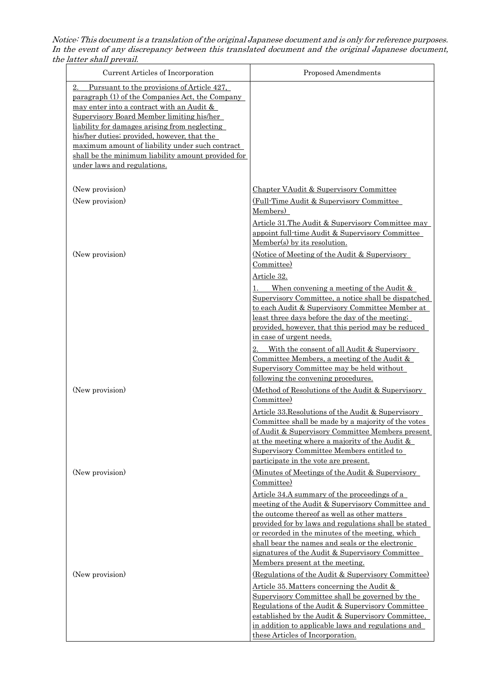Notice: This document is a translation of the original Japanese document and is only for reference purposes. In the event of any discrepancy between this translated document and the original Japanese document, the latter shall prevail.

| Current Articles of Incorporation                                                                                                                                                                                                                                                                                                                                                                                                     | <b>Proposed Amendments</b>                                                                                                                                                                                                                                                                                              |
|---------------------------------------------------------------------------------------------------------------------------------------------------------------------------------------------------------------------------------------------------------------------------------------------------------------------------------------------------------------------------------------------------------------------------------------|-------------------------------------------------------------------------------------------------------------------------------------------------------------------------------------------------------------------------------------------------------------------------------------------------------------------------|
| Pursuant to the provisions of Article 427,<br>2.<br>paragraph (1) of the Companies Act, the Company<br>may enter into a contract with an Audit &<br>Supervisory Board Member limiting his/her<br>liability for damages arising from neglecting<br>his/her duties; provided, however, that the<br>maximum amount of liability under such contract<br>shall be the minimum liability amount provided for<br>under laws and regulations. |                                                                                                                                                                                                                                                                                                                         |
| (New provision)                                                                                                                                                                                                                                                                                                                                                                                                                       | Chapter VAudit & Supervisory Committee                                                                                                                                                                                                                                                                                  |
| (New provision)                                                                                                                                                                                                                                                                                                                                                                                                                       | (Full-Time Audit & Supervisory Committee                                                                                                                                                                                                                                                                                |
|                                                                                                                                                                                                                                                                                                                                                                                                                                       | Members)                                                                                                                                                                                                                                                                                                                |
|                                                                                                                                                                                                                                                                                                                                                                                                                                       | Article 31. The Audit & Supervisory Committee may<br>appoint full-time Audit & Supervisory Committee<br>Member(s) by its resolution.                                                                                                                                                                                    |
| (New provision)                                                                                                                                                                                                                                                                                                                                                                                                                       | (Notice of Meeting of the Audit & Supervisory                                                                                                                                                                                                                                                                           |
|                                                                                                                                                                                                                                                                                                                                                                                                                                       | Committee)                                                                                                                                                                                                                                                                                                              |
|                                                                                                                                                                                                                                                                                                                                                                                                                                       | Article 32.                                                                                                                                                                                                                                                                                                             |
|                                                                                                                                                                                                                                                                                                                                                                                                                                       | When convening a meeting of the Audit $\&$<br>Supervisory Committee, a notice shall be dispatched<br>to each Audit & Supervisory Committee Member at<br>least three days before the day of the meeting;<br>provided, however, that this period may be reduced<br>in case of urgent needs.                               |
|                                                                                                                                                                                                                                                                                                                                                                                                                                       | With the consent of all Audit & Supervisory<br>2.<br>Committee Members, a meeting of the Audit $&$<br>Supervisory Committee may be held without<br>following the convening procedures.                                                                                                                                  |
| (New provision)                                                                                                                                                                                                                                                                                                                                                                                                                       | <u>(Method of Resolutions of the Audit &amp; Supervisory</u><br>Committee)                                                                                                                                                                                                                                              |
|                                                                                                                                                                                                                                                                                                                                                                                                                                       | Article 33. Resolutions of the Audit & Supervisory<br>Committee shall be made by a majority of the votes<br>of Audit & Supervisory Committee Members present<br>at the meeting where a majority of the Audit $\&$<br>Supervisory Committee Members entitled to<br>participate in the vote are present.                  |
| (New provision)                                                                                                                                                                                                                                                                                                                                                                                                                       | (Minutes of Meetings of the Audit & Supervisory<br>Committee)                                                                                                                                                                                                                                                           |
|                                                                                                                                                                                                                                                                                                                                                                                                                                       | <u>Article 34.A summary of the proceedings of a</u><br>meeting of the Audit & Supervisory Committee and<br>the outcome thereof as well as other matters<br>provided for by laws and regulations shall be stated<br>or recorded in the minutes of the meeting, which<br>shall bear the names and seals or the electronic |
|                                                                                                                                                                                                                                                                                                                                                                                                                                       | signatures of the Audit & Supervisory Committee<br>Members present at the meeting.                                                                                                                                                                                                                                      |
| (New provision)                                                                                                                                                                                                                                                                                                                                                                                                                       | (Regulations of the Audit & Supervisory Committee)                                                                                                                                                                                                                                                                      |
|                                                                                                                                                                                                                                                                                                                                                                                                                                       | Article 35. Matters concerning the Audit $\&$                                                                                                                                                                                                                                                                           |
|                                                                                                                                                                                                                                                                                                                                                                                                                                       | Supervisory Committee shall be governed by the<br>Regulations of the Audit & Supervisory Committee<br>established by the Audit & Supervisory Committee,                                                                                                                                                                 |
|                                                                                                                                                                                                                                                                                                                                                                                                                                       | in addition to applicable laws and regulations and<br>these Articles of Incorporation.                                                                                                                                                                                                                                  |